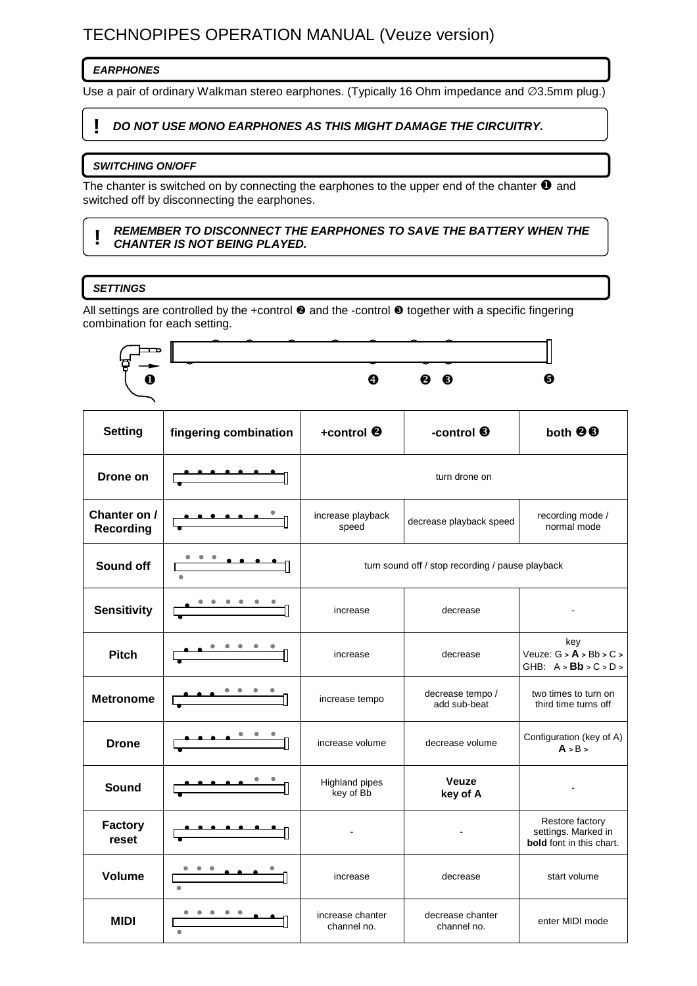# TECHNOPIPES OPERATION MANUAL (Veuze version)

# **EARPHONES**

Use a pair of ordinary Walkman stereo earphones. (Typically 16 Ohm impedance and ∅3.5mm plug.)

# **! DO NOT USE MONO EARPHONES AS THIS MIGHT DAMAGE THE CIRCUITRY.**

#### **SWITCHING ON/OFF**

The chanter is switched on by connecting the earphones to the upper end of the chanter  $\bullet$  and switched off by disconnecting the earphones.

#### **! REMEMBER TO DISCONNECT THE EARPHONES TO SAVE THE BATTERY WHEN THE CHANTER IS NOT BEING PLAYED.**

# **SETTINGS**

All settings are controlled by the +control  $\Theta$  and the -control  $\Theta$  together with a specific fingering combination for each setting.

|                                  |                       | A                                                | <b>@</b> ©                       | 6                                                                         |
|----------------------------------|-----------------------|--------------------------------------------------|----------------------------------|---------------------------------------------------------------------------|
| <b>Setting</b>                   | fingering combination | +control <sup>®</sup>                            | -control <sup>6</sup>            | both <sup>@</sup>                                                         |
| Drone on                         |                       | turn drone on                                    |                                  |                                                                           |
| Chanter on /<br><b>Recording</b> | <u>.</u>              | increase playback<br>speed                       | decrease playback speed          | recording mode /<br>normal mode                                           |
| Sound off                        |                       | turn sound off / stop recording / pause playback |                                  |                                                                           |
| <b>Sensitivity</b>               |                       | increase                                         | decrease                         |                                                                           |
| <b>Pitch</b>                     |                       | increase                                         | decrease                         | key<br>Veuze: $G > A > Bb > C >$<br>GHB: $A > Bb > C > D >$               |
| <b>Metronome</b>                 |                       | increase tempo                                   | decrease tempo /<br>add sub-beat | two times to turn on<br>third time turns off                              |
| <b>Drone</b>                     |                       | increase volume                                  | decrease volume                  | Configuration (key of A)<br>A > B >                                       |
| <b>Sound</b>                     |                       | Highland pipes<br>key of Bb                      | <b>Veuze</b><br>key of A         |                                                                           |
| <b>Factory</b><br>reset          |                       |                                                  |                                  | Restore factory<br>settings. Marked in<br><b>bold</b> font in this chart. |
| <b>Volume</b>                    |                       | increase                                         | decrease                         | start volume                                                              |
| <b>MIDI</b>                      |                       | increase chanter<br>channel no.                  | decrease chanter<br>channel no.  | enter MIDI mode                                                           |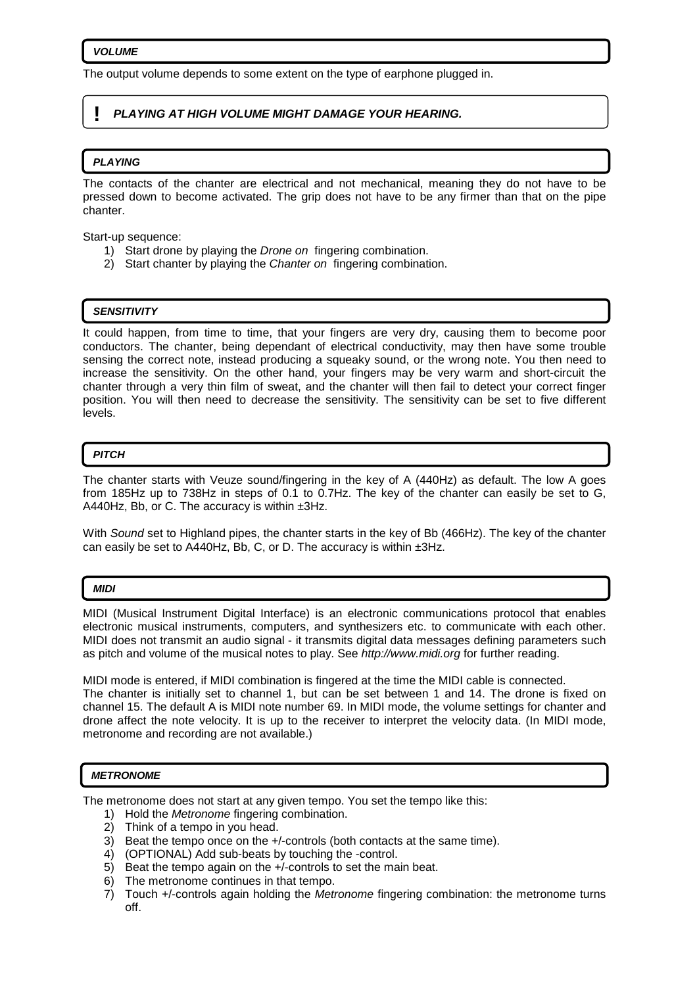#### **VOLUME**

The output volume depends to some extent on the type of earphone plugged in.

## **! PLAYING AT HIGH VOLUME MIGHT DAMAGE YOUR HEARING.**

### **PLAYING**

The contacts of the chanter are electrical and not mechanical, meaning they do not have to be pressed down to become activated. The grip does not have to be any firmer than that on the pipe chanter.

Start-up sequence:

- 1) Start drone by playing the Drone on fingering combination.
- 2) Start chanter by playing the Chanter on fingering combination.

#### **SENSITIVITY**

It could happen, from time to time, that your fingers are very dry, causing them to become poor conductors. The chanter, being dependant of electrical conductivity, may then have some trouble sensing the correct note, instead producing a squeaky sound, or the wrong note. You then need to increase the sensitivity. On the other hand, your fingers may be very warm and short-circuit the chanter through a very thin film of sweat, and the chanter will then fail to detect your correct finger position. You will then need to decrease the sensitivity. The sensitivity can be set to five different levels.

#### **PITCH**

The chanter starts with Veuze sound/fingering in the key of A (440Hz) as default. The low A goes from 185Hz up to 738Hz in steps of 0.1 to 0.7Hz. The key of the chanter can easily be set to G, A440Hz, Bb, or C. The accuracy is within ±3Hz.

With Sound set to Highland pipes, the chanter starts in the key of Bb (466Hz). The key of the chanter can easily be set to A440Hz, Bb, C, or D. The accuracy is within ±3Hz.

#### **MIDI**

MIDI (Musical Instrument Digital Interface) is an electronic communications protocol that enables electronic musical instruments, computers, and synthesizers etc. to communicate with each other. MIDI does not transmit an audio signal - it transmits digital data messages defining parameters such as pitch and volume of the musical notes to play. See http://www.midi.org for further reading.

MIDI mode is entered, if MIDI combination is fingered at the time the MIDI cable is connected. The chanter is initially set to channel 1, but can be set between 1 and 14. The drone is fixed on channel 15. The default A is MIDI note number 69. In MIDI mode, the volume settings for chanter and drone affect the note velocity. It is up to the receiver to interpret the velocity data. (In MIDI mode, metronome and recording are not available.)

#### **METRONOME**

The metronome does not start at any given tempo. You set the tempo like this:

- 1) Hold the Metronome fingering combination.
- 2) Think of a tempo in you head.
- 3) Beat the tempo once on the +/-controls (both contacts at the same time).
- 4) (OPTIONAL) Add sub-beats by touching the -control.
- 5) Beat the tempo again on the +/-controls to set the main beat.
- 6) The metronome continues in that tempo.
- 7) Touch +/-controls again holding the Metronome fingering combination: the metronome turns off.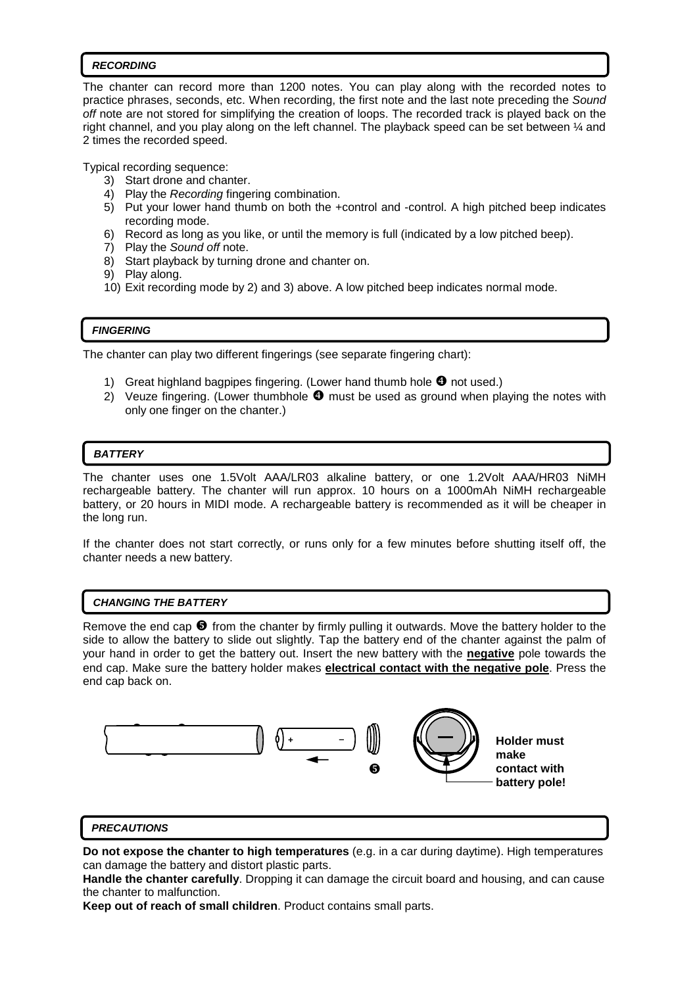#### **RECORDING**

The chanter can record more than 1200 notes. You can play along with the recorded notes to practice phrases, seconds, etc. When recording, the first note and the last note preceding the Sound off note are not stored for simplifying the creation of loops. The recorded track is played back on the right channel, and you play along on the left channel. The playback speed can be set between ¼ and 2 times the recorded speed.

Typical recording sequence:

- 3) Start drone and chanter.
- 4) Play the Recording fingering combination.
- 5) Put your lower hand thumb on both the +control and -control. A high pitched beep indicates recording mode.
- 6) Record as long as you like, or until the memory is full (indicated by a low pitched beep).
- 7) Play the Sound off note.
- 8) Start playback by turning drone and chanter on.
- 9) Play along.
- 10) Exit recording mode by 2) and 3) above. A low pitched beep indicates normal mode.

# **FINGERING**

The chanter can play two different fingerings (see separate fingering chart):

- 1) Great highland bagpipes fingering. (Lower hand thumb hole  $\bullet$  not used.)
- 2) Veuze fingering. (Lower thumbhole  $\bullet$  must be used as ground when playing the notes with only one finger on the chanter.)

# **BATTERY**

 $\overline{a}$ 

The chanter uses one 1.5Volt AAA/LR03 alkaline battery, or one 1.2Volt AAA/HR03 NiMH rechargeable battery. The chanter will run approx. 10 hours on a 1000mAh NiMH rechargeable battery, or 20 hours in MIDI mode. A rechargeable battery is recommended as it will be cheaper in the long run.

If the chanter does not start correctly, or runs only for a few minutes before shutting itself off, the chanter needs a new battery.

### **CHANGING THE BATTERY**

Remove the end cap  $\bullet$  from the chanter by firmly pulling it outwards. Move the battery holder to the side to allow the battery to slide out slightly. Tap the battery end of the chanter against the palm of your hand in order to get the battery out. Insert the new battery with the **negative** pole towards the end cap. Make sure the battery holder makes **electrical contact with the negative pole**. Press the end cap back on.



### **PRECAUTIONS**

**Do not expose the chanter to high temperatures** (e.g. in a car during daytime). High temperatures can damage the battery and distort plastic parts.

**Handle the chanter carefully**. Dropping it can damage the circuit board and housing, and can cause the chanter to malfunction.

**Keep out of reach of small children**. Product contains small parts.